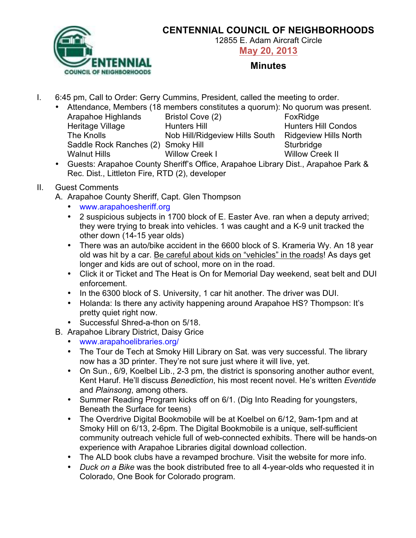

## **CENTENNIAL COUNCIL OF NEIGHBORHOODS**

12855 E. Adam Aircraft Circle

**May 20, 2013**

## **Minutes**

I. 6:45 pm, Call to Order: Gerry Cummins, President, called the meeting to order.

|                                    | • Attendance, Members (18 members constitutes a quorum): No quorum was present. |                              |
|------------------------------------|---------------------------------------------------------------------------------|------------------------------|
| Arapahoe Highlands                 | Bristol Cove (2)                                                                | FoxRidge                     |
| Heritage Village                   | <b>Hunters Hill</b>                                                             | <b>Hunters Hill Condos</b>   |
| The Knolls                         | Nob Hill/Ridgeview Hills South                                                  | <b>Ridgeview Hills North</b> |
| Saddle Rock Ranches (2) Smoky Hill |                                                                                 | Sturbridge                   |
| <b>Walnut Hills</b>                | <b>Willow Creek I</b>                                                           | <b>Willow Creek II</b>       |
|                                    |                                                                                 |                              |

• Guests: Arapahoe County Sheriff's Office, Arapahoe Library Dist., Arapahoe Park & Rec. Dist., Littleton Fire, RTD (2), developer

## II. Guest Comments

- A. Arapahoe County Sheriff, Capt. Glen Thompson
	- www.arapahoesheriff.org
	- 2 suspicious subjects in 1700 block of E. Easter Ave. ran when a deputy arrived; they were trying to break into vehicles. 1 was caught and a K-9 unit tracked the other down (14-15 year olds)
	- There was an auto/bike accident in the 6600 block of S. Krameria Wy. An 18 year old was hit by a car. Be careful about kids on "vehicles" in the roads! As days get longer and kids are out of school, more on in the road.
	- Click it or Ticket and The Heat is On for Memorial Day weekend, seat belt and DUI enforcement.
	- In the 6300 block of S. University, 1 car hit another. The driver was DUI.
	- Holanda: Is there any activity happening around Arapahoe HS? Thompson: It's pretty quiet right now.
	- Successful Shred-a-thon on 5/18.
- B. Arapahoe Library District, Daisy Grice
	- www.arapahoelibraries.org/
	- The Tour de Tech at Smoky Hill Library on Sat. was very successful. The library now has a 3D printer. They're not sure just where it will live, yet.
	- On Sun., 6/9, Koelbel Lib., 2-3 pm, the district is sponsoring another author event, Kent Haruf. He'll discuss *Benediction*, his most recent novel. He's written *Eventide* and *Plainsong*, among others.
	- Summer Reading Program kicks off on 6/1. (Dig Into Reading for youngsters, Beneath the Surface for teens)
	- The Overdrive Digital Bookmobile will be at Koelbel on 6/12, 9am-1pm and at Smoky Hill on 6/13, 2-6pm. The Digital Bookmobile is a unique, self-sufficient community outreach vehicle full of web-connected exhibits. There will be hands-on experience with Arapahoe Libraries digital download collection.
	- The ALD book clubs have a revamped brochure. Visit the website for more info.
	- *Duck on a Bike* was the book distributed free to all 4-year-olds who requested it in Colorado, One Book for Colorado program.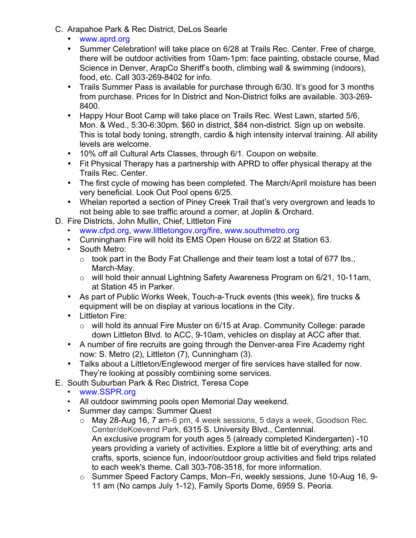- C. Arapahoe Park & Rec District, DeLos Searle
	- www.aprd.org
	- Summer Celebration! will take place on 6/28 at Trails Rec. Center. Free of charge, there will be outdoor activities from 10am-1pm: face painting, obstacle course, Mad Science in Denver, ArapCo Sheriff's booth, climbing wall & swimming (indoors), food, etc. Call 303-269-8402 for info.
	- Trails Summer Pass is available for purchase through 6/30. It's good for 3 months from purchase. Prices for In District and Non-District folks are available. 303-269- 8400.
	- Happy Hour Boot Camp will take place on Trails Rec. West Lawn, started 5/6, Mon. & Wed., 5:30-6:30pm. \$60 in district, \$84 non-district. Sign up on website. This is total body toning, strength, cardio & high intensity interval training. All ability levels are welcome.
	- 10% off all Cultural Arts Classes, through 6/1. Coupon on website.
	- Fit Physical Therapy has a partnership with APRD to offer physical therapy at the Trails Rec. Center.
	- The first cycle of mowing has been completed. The March/April moisture has been very beneficial. Look Out Pool opens 6/25.
	- Whelan reported a section of Piney Creek Trail that's very overgrown and leads to not being able to see traffic around a corner, at Joplin & Orchard.
- D. Fire Districts, John Mullin, Chief, Littleton Fire
	- www.cfpd.org, www.littletongov.org/fire, www.southmetro.org
	- Cunningham Fire will hold its EMS Open House on 6/22 at Station 63.
	- South Metro:
		- $\circ$  took part in the Body Fat Challenge and their team lost a total of 677 lbs., March-May.
		- o will hold their annual Lightning Safety Awareness Program on 6/21, 10-11am, at Station 45 in Parker.
	- As part of Public Works Week, Touch-a-Truck events (this week), fire trucks & equipment will be on display at various locations in the City.
	- Littleton Fire:
		- o will hold its annual Fire Muster on 6/15 at Arap. Community College: parade down Littleton Blvd. to ACC, 9-10am, vehicles on display at ACC after that.
	- A number of fire recruits are going through the Denver-area Fire Academy right now: S. Metro (2), Littleton (7), Cunningham (3).
	- Talks about a Littleton/Englewood merger of fire services have stalled for now. They're looking at possibly combining some services.
- E. South Suburban Park & Rec District, Teresa Cope
	- www.SSPR.org
	- All outdoor swimming pools open Memorial Day weekend.
	- Summer day camps: Summer Quest
		- o May 28-Aug 16, 7 am-6 pm, 4 week sessions, 5 days a week, Goodson Rec. Center/deKoevend Park, 6315 S. University Blvd., Centennial. An exclusive program for youth ages 5 (already completed Kindergarten) -10 years providing a variety of activities. Explore a little bit of everything: arts and crafts, sports, science fun, indoor/outdoor group activities and field trips related to each week's theme. Call 303-708-3518, for more information.
		- o Summer Speed Factory Camps, Mon–Fri, weekly sessions, June 10-Aug 16, 9- 11 am (No camps July 1-12), Family Sports Dome, 6959 S. Peoria.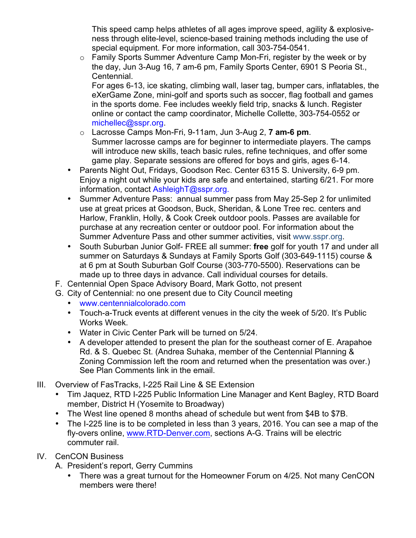This speed camp helps athletes of all ages improve speed, agility & explosiveness through elite-level, science-based training methods including the use of special equipment. For more information, call 303-754-0541.

o Family Sports Summer Adventure Camp Mon-Fri, register by the week or by the day, Jun 3-Aug 16, 7 am-6 pm, Family Sports Center, 6901 S Peoria St., Centennial.

For ages 6-13, ice skating, climbing wall, laser tag, bumper cars, inflatables, the eXerGame Zone, mini-golf and sports such as soccer, flag football and games in the sports dome. Fee includes weekly field trip, snacks & lunch. Register online or contact the camp coordinator, Michelle Collette, 303-754-0552 or michellec@sspr.org.

- o Lacrosse Camps Mon-Fri, 9-11am, Jun 3-Aug 2, **7 am-6 pm**. Summer lacrosse camps are for beginner to intermediate players. The camps will introduce new skills, teach basic rules, refine techniques, and offer some game play. Separate sessions are offered for boys and girls, ages 6-14.
- Parents Night Out, Fridays, Goodson Rec. Center 6315 S. University, 6-9 pm. Enjoy a night out while your kids are safe and entertained, starting 6/21. For more information, contact AshleighT@sspr.org.
- Summer Adventure Pass: annual summer pass from May 25-Sep 2 for unlimited use at great prices at Goodson, Buck, Sheridan, & Lone Tree rec. centers and Harlow, Franklin, Holly, & Cook Creek outdoor pools. Passes are available for purchase at any recreation center or outdoor pool. For information about the Summer Adventure Pass and other summer activities, visit www.sspr.org.
- South Suburban Junior Golf- FREE all summer: **free** golf for youth 17 and under all summer on Saturdays & Sundays at Family Sports Golf (303-649-1115) course & at 6 pm at South Suburban Golf Course (303-770-5500). Reservations can be made up to three days in advance. Call individual courses for details.
- F. Centennial Open Space Advisory Board, Mark Gotto, not present
- G. City of Centennial: no one present due to City Council meeting
	- www.centennialcolorado.com
	- Touch-a-Truck events at different venues in the city the week of 5/20. It's Public Works Week.
	- Water in Civic Center Park will be turned on 5/24.
	- A developer attended to present the plan for the southeast corner of E. Arapahoe Rd. & S. Quebec St. (Andrea Suhaka, member of the Centennial Planning & Zoning Commission left the room and returned when the presentation was over.) See Plan Comments link in the email.
- III. Overview of FasTracks, I-225 Rail Line & SE Extension
	- Tim Jaquez, RTD I-225 Public Information Line Manager and Kent Bagley, RTD Board member, District H (Yosemite to Broadway)
	- The West line opened 8 months ahead of schedule but went from \$4B to \$7B.
	- The I-225 line is to be completed in less than 3 years, 2016. You can see a map of the fly-overs online, www.RTD-Denver.com, sections A-G. Trains will be electric commuter rail.
- IV. CenCON Business
	- A. President's report, Gerry Cummins
		- There was a great turnout for the Homeowner Forum on 4/25. Not many CenCON members were there!